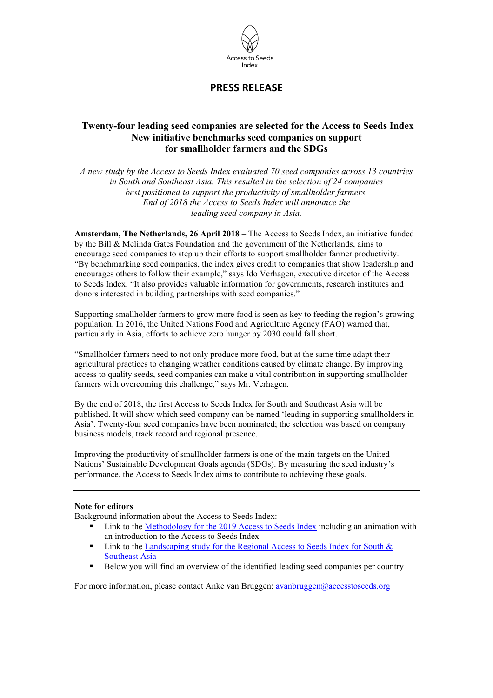

## **PRESS RELEASE**

## **Twenty-four leading seed companies are selected for the Access to Seeds Index New initiative benchmarks seed companies on support for smallholder farmers and the SDGs**

*A new study by the Access to Seeds Index evaluated 70 seed companies across 13 countries in South and Southeast Asia. This resulted in the selection of 24 companies best positioned to support the productivity of smallholder farmers. End of 2018 the Access to Seeds Index will announce the leading seed company in Asia.*

**Amsterdam, The Netherlands, 26 April 2018 –** The Access to Seeds Index, an initiative funded by the Bill & Melinda Gates Foundation and the government of the Netherlands, aims to encourage seed companies to step up their efforts to support smallholder farmer productivity. "By benchmarking seed companies, the index gives credit to companies that show leadership and encourages others to follow their example," says Ido Verhagen, executive director of the Access to Seeds Index. "It also provides valuable information for governments, research institutes and donors interested in building partnerships with seed companies."

Supporting smallholder farmers to grow more food is seen as key to feeding the region's growing population. In 2016, the United Nations Food and Agriculture Agency (FAO) warned that, particularly in Asia, efforts to achieve zero hunger by 2030 could fall short.

"Smallholder farmers need to not only produce more food, but at the same time adapt their agricultural practices to changing weather conditions caused by climate change. By improving access to quality seeds, seed companies can make a vital contribution in supporting smallholder farmers with overcoming this challenge," says Mr. Verhagen.

By the end of 2018, the first Access to Seeds Index for South and Southeast Asia will be published. It will show which seed company can be named 'leading in supporting smallholders in Asia'. Twenty-four seed companies have been nominated; the selection was based on company business models, track record and regional presence.

Improving the productivity of smallholder farmers is one of the main targets on the United Nations' Sustainable Development Goals agenda (SDGs). By measuring the seed industry's performance, the Access to Seeds Index aims to contribute to achieving these goals.

## **Note for editors**

Background information about the Access to Seeds Index:

- § Link to the Methodology for the 2019 Access to Seeds Index including an animation with an introduction to the Access to Seeds Index
- Link to the Landscaping study for the Regional Access to Seeds Index for South & Southeast Asia
- Below you will find an overview of the identified leading seed companies per country

For more information, please contact Anke van Bruggen: avanbruggen@accesstoseeds.org